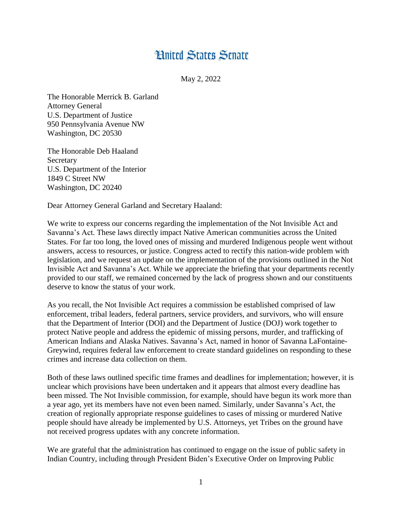## **Hnited States Senate**

May 2, 2022

The Honorable Merrick B. Garland Attorney General U.S. Department of Justice 950 Pennsylvania Avenue NW Washington, DC 20530

The Honorable Deb Haaland **Secretary** U.S. Department of the Interior 1849 C Street NW Washington, DC 20240

Dear Attorney General Garland and Secretary Haaland:

We write to express our concerns regarding the implementation of the Not Invisible Act and Savanna's Act. These laws directly impact Native American communities across the United States. For far too long, the loved ones of missing and murdered Indigenous people went without answers, access to resources, or justice. Congress acted to rectify this nation-wide problem with legislation, and we request an update on the implementation of the provisions outlined in the Not Invisible Act and Savanna's Act. While we appreciate the briefing that your departments recently provided to our staff, we remained concerned by the lack of progress shown and our constituents deserve to know the status of your work.

As you recall, the Not Invisible Act requires a commission be established comprised of law enforcement, tribal leaders, federal partners, service providers, and survivors, who will ensure that the Department of Interior (DOI) and the Department of Justice (DOJ) work together to protect Native people and address the epidemic of missing persons, murder, and trafficking of American Indians and Alaska Natives. Savanna's Act, named in honor of Savanna LaFontaine-Greywind, requires federal law enforcement to create standard guidelines on responding to these crimes and increase data collection on them.

Both of these laws outlined specific time frames and deadlines for implementation; however, it is unclear which provisions have been undertaken and it appears that almost every deadline has been missed. The Not Invisible commission, for example, should have begun its work more than a year ago, yet its members have not even been named. Similarly, under Savanna's Act, the creation of regionally appropriate response guidelines to cases of missing or murdered Native people should have already be implemented by U.S. Attorneys, yet Tribes on the ground have not received progress updates with any concrete information.

We are grateful that the administration has continued to engage on the issue of public safety in Indian Country, including through President Biden's Executive Order on Improving Public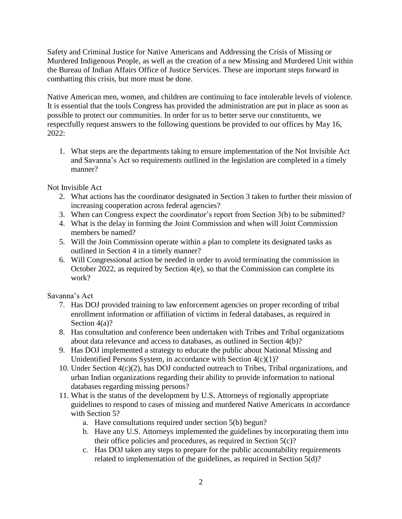Safety and Criminal Justice for Native Americans and Addressing the Crisis of Missing or Murdered Indigenous People, as well as the creation of a new Missing and Murdered Unit within the Bureau of Indian Affairs Office of Justice Services. These are important steps forward in combatting this crisis, but more must be done.

Native American men, women, and children are continuing to face intolerable levels of violence. It is essential that the tools Congress has provided the administration are put in place as soon as possible to protect our communities. In order for us to better serve our constituents, we respectfully request answers to the following questions be provided to our offices by May 16, 2022:

1. What steps are the departments taking to ensure implementation of the Not Invisible Act and Savanna's Act so requirements outlined in the legislation are completed in a timely manner?

Not Invisible Act

- 2. What actions has the coordinator designated in Section 3 taken to further their mission of increasing cooperation across federal agencies?
- 3. When can Congress expect the coordinator's report from Section 3(b) to be submitted?
- 4. What is the delay in forming the Joint Commission and when will Joint Commission members be named?
- 5. Will the Join Commission operate within a plan to complete its designated tasks as outlined in Section 4 in a timely manner?
- 6. Will Congressional action be needed in order to avoid terminating the commission in October 2022, as required by Section 4(e), so that the Commission can complete its work?

Savanna's Act

- 7. Has DOJ provided training to law enforcement agencies on proper recording of tribal enrollment information or affiliation of victims in federal databases, as required in Section 4(a)?
- 8. Has consultation and conference been undertaken with Tribes and Tribal organizations about data relevance and access to databases, as outlined in Section 4(b)?
- 9. Has DOJ implemented a strategy to educate the public about National Missing and Unidentified Persons System, in accordance with Section 4(c)(1)?
- 10. Under Section 4(c)(2), has DOJ conducted outreach to Tribes, Tribal organizations, and urban Indian organizations regarding their ability to provide information to national databases regarding missing persons?
- 11. What is the status of the development by U.S. Attorneys of regionally appropriate guidelines to respond to cases of missing and murdered Native Americans in accordance with Section 5?
	- a. Have consultations required under section 5(b) begun?
	- b. Have any U.S. Attorneys implemented the guidelines by incorporating them into their office policies and procedures, as required in Section 5(c)?
	- c. Has DOJ taken any steps to prepare for the public accountability requirements related to implementation of the guidelines, as required in Section 5(d)?